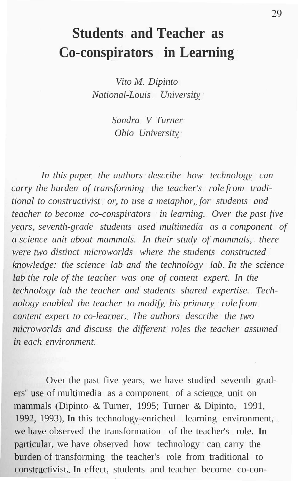# **Students and Teacher as Co-conspirators in Learning**

*Vito M. Dipinto National-Louis University*

> *Sandra V Turner Ohio University*

*In this paper the authors describe how technology can carry the burden of transforming the teacher's role from traditional to constructivist or, to use a metaphor, for students and teacher to become co-conspirators in learning. Over the past five years, seventh-grade students used multimedia as a component of a science unit about mammals. In their study of mammals, there were two distinct microworlds where the students constructed knowledge: the science lab and the technology lab. In the science lab the role of the teacher was one of content expert. In the technology lab the teacher and students shared expertise. Technology enabled the teacher to modify his primary role from content expert to co-learner. The authors describe the two microworlds and discuss the different roles the teacher assumed in each environment.*

Over the past five years, we have studied seventh graders' use of multimedia as a component of a science unit on mammals (Dipinto & Turner, 1995; Turner & Dipinto, 1991, 1992, 1993), **In** this technology-enriched learning environment, we have observed the transformation of the teacher's role. **In** particular, we have observed how technology can carry the burden of transforming the teacher's role from traditional to constructivist. **In** effect, students and teacher become co-con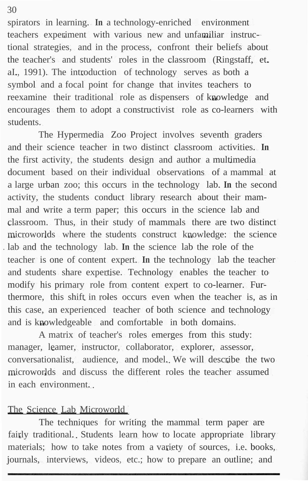spirators in learning. **In** a technology-enriched environment teachers experiment with various new and unfamiliar instructional strategies, and in the process, confront their beliefs about the teacher's and students' roles in the classroom (Ringstaff, et. aI., 1991). The introduction of technology serves as both a symbol and a focal point for change that invites teachers to reexamine their traditional role as dispensers of knowledge and encourages them to adopt a constructivist role as co-learners with students.

The Hypermedia Zoo Project involves seventh graders and their science teacher in two distinct classroom activities. **In** the first activity, the students design and author a multimedia document based on their individual observations of a mammal at a large urban zoo; this occurs in the technology lab. **In** the second activity, the students conduct library research about their mammal and write a term paper; this occurs in the science lab and classroom. Thus, in their study of mammals there are two distinct microworlds where the students construct knowledge: the science . lab and the technology lab. **In** the science lab the role of the teacher is one of content expert. **In** the technology lab the teacher and students share expertise. Technology enables the teacher to modify his primary role from content expert to co-learner. Furthermore, this shift in roles occurs even when the teacher is, as in this case, an experienced teacher of both science and technology and is knowledgeable and comfortable in both domains.

A matrix of teacher's roles emerges from this study: manager, leamer, instructor, collaborator, explorer, assessor, conversationalist, audience, and model. We will describe the two microworlds and discuss the different roles the teacher assumed in each environment.

## The Science Lab Microworld

The techniques for writing the mammal term paper are fairly traditional. Students learn how to locate appropriate library materials; how to take notes from a variety of sources, i.e. books, journals, interviews, videos, etc.; how to prepare an outline; and

#### 30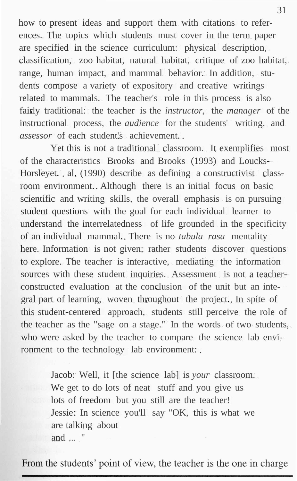how to present ideas and support them with citations to references. The topics which students must cover in the term paper are specified in the science curriculum: physical description, classification, zoo habitat, natural habitat, critique of zoo habitat, range, human impact, and mammal behavior. In addition, students compose a variety of expository and creative writings related to mammals. The teacher's role in this process is also fairly traditional: the teacher is the *instructor,* the *manager* of the instructional process, the *audience* for the students' writing, and *assessor* of each student's achievement.

Yet this is not a traditional classroom. It exemplifies most of the characteristics Brooks and Brooks (1993) and Loucks-Horsleyet. al. (1990) describe as defining a constructivist classroom environment. Although there is an initial focus on basic scientific and writing skills, the overall emphasis is on pursuing student questions with the goal for each individual learner to understand the interrelatedness of life grounded in the specificity of an individual mammal. There is no *tabula rasa* mentality here. Information is not given; rather students discover questions to explore. The teacher is interactive, mediating the information sources with these student inquiries. Assessment is not a teacherconstructed evaluation at the conclusion of the unit but an integral part of learning, woven throughout the project. In spite of this student-centered approach, students still perceive the role of the teacher as the "sage on a stage." In the words of two students, who were asked by the teacher to compare the science lab environment to the technology lab environment:

> Jacob: Well, it [the science lab] is *your* classroom. We get to do lots of neat stuff and you give us lots of freedom but you still are the teacher! Jessie: In science you'll say "OK, this is what we are talking about and ... "

From the students' point of view, the teacher is the one in charge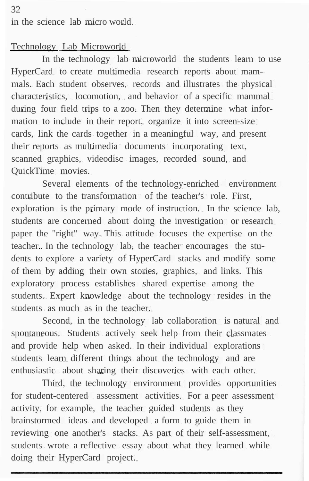in the science lab micro world.

## Technology Lab Microworld

In the technology lab microworld the students learn to use HyperCard to create multimedia research reports about mammals. Each student observes, records and illustrates the physical characteristics, locomotion, and behavior of a specific mammal during four field trips to a zoo. Then they determine what information to include in their report, organize it into screen-size cards, link the cards together in a meaningful way, and present their reports as multimedia documents incorporating text, scanned graphics, videodisc images, recorded sound, and QuickTime movies.

Several elements of the technology-enriched environment contribute to the transformation of the teacher's role. First, exploration is the primary mode of instruction. In the science lab, students are concerned about doing the investigation or research paper the "right" way. This attitude focuses the expertise on the teacher. In the technology lab, the teacher encourages the students to explore a variety of HyperCard stacks and modify some of them by adding their own stories, graphics, and links. This exploratory process establishes shared expertise among the students. Expert knowledge about the technology resides in the students as much as in the teacher.

Second, in the technology lab collaboration is natural and spontaneous. Students actively seek help from their classmates and provide help when asked. In their individual explorations students learn different things about the technology and are enthusiastic about sharing their discoveries with each other.

Third, the technology environment provides opportunities for student-centered assessment activities. For a peer assessment activity, for example, the teacher guided students as they brainstormed ideas and developed a form to guide them in reviewing one another's stacks. As part of their self-assessment, students wrote a reflective essay about what they learned while doing their HyperCard project.

32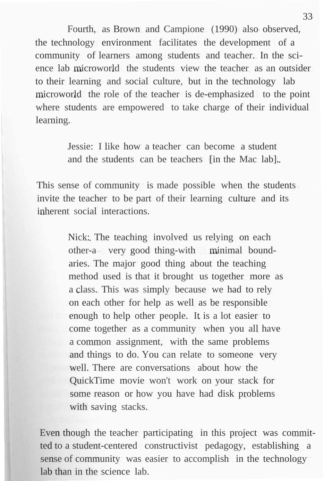Fourth, as Brown and Campione (1990) also observed, the technology environment facilitates the development of a community of learners among students and teacher. In the science lab microworld the students view the teacher as an outsider to their learning and social culture, but in the technology lab microworld the role of the teacher is de-emphasized to the point where students are empowered to take charge of their individual learning.

> Jessie: I like how a teacher can become a student and the students can be teachers [in the Mac lab].

This sense of community is made possible when the students invite the teacher to be part of their learning culture and its inherent social interactions.

> Nick: The teaching involved us relying on each other-a very good thing-with minimal boundaries. The major good thing about the teaching method used is that it brought us together more as a class. This was simply because we had to rely on each other for help as well as be responsible enough to help other people. It is a lot easier to come together as a community when you all have a common assignment, with the same problems and things to do. You can relate to someone very well. There are conversations about how the QuickTime movie won't work on your stack for some reason or how you have had disk problems with saving stacks.

Even though the teacher participating in this project was committed to a student-centered constructivist pedagogy, establishing a sense of community was easier to accomplish in the technology lab than in the science lab.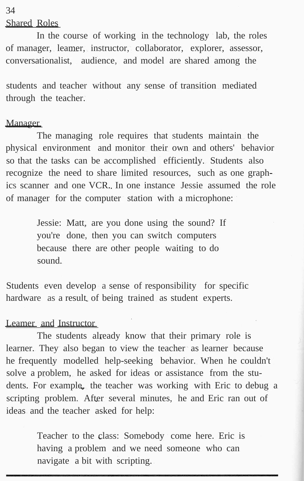Shared Roles

In the course of working in the technology lab, the roles of manager, leamer, instructor, collaborator, explorer, assessor, conversationalist, audience, and model are shared among the

students and teacher without any sense of transition mediated through the teacher.

#### **Manager**

The managing role requires that students maintain the physical environment and monitor their own and others' behavior so that the tasks can be accomplished efficiently. Students also recognize the need to share limited resources, such as one graphics scanner and one VCR. In one instance Jessie assumed the role of manager for the computer station with a microphone:

> Jessie: Matt, are you done using the sound? If you're done, then you can switch computers because there are other people waiting to do sound.

Students even develop a sense of responsibility for specific hardware as a result of being trained as student experts.

#### Leamer and Instructor

The students already know that their primary role is learner. They also began to view the teacher as learner because he frequently modelled help-seeking behavior. When he couldn't solve a problem, he asked for ideas or assistance from the students. For example, the teacher was working with Eric to debug a scripting problem. After several minutes, he and Eric ran out of ideas and the teacher asked for help:

> Teacher to the class: Somebody come here. Eric is having a problem and we need someone who can navigate a bit with scripting.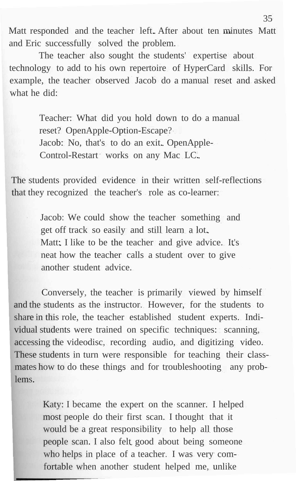Matt responded and the teacher left. After about ten minutes Matt and Eric successfully solved the problem.

The teacher also sought the students' expertise about technology to add to his own repertoire of HyperCard skills. For example, the teacher observed Jacob do a manual reset and asked what he did:

> Teacher: What did you hold down to do a manual reset? OpenApple-Option-Escape? Jacob: No, that's to do an exit. OpenApple-Control-Restart works on any Mac LC.

The students provided evidence in their written self-reflections that they recognized the teacher's role as co-learner:

> Jacob: We could show the teacher something and get off track so easily and still learn a lot. Matt: I like to be the teacher and give advice. It's neat how the teacher calls a student over to give another student advice.

Conversely, the teacher is primarily viewed by himself and the students as the instructor. However, for the students to share in this role, the teacher established student experts. Individual students were trained on specific techniques: scanning, accessing the videodisc, recording audio, and digitizing video. These students in turn were responsible for teaching their classmates how to do these things and for troubleshooting any problems.

> Katy: I became the expert on the scanner. I helped most people do their first scan. I thought that it would be a great responsibility to help all those people scan. I also felt good about being someone who helps in place of a teacher. I was very comfortable when another student helped me, unlike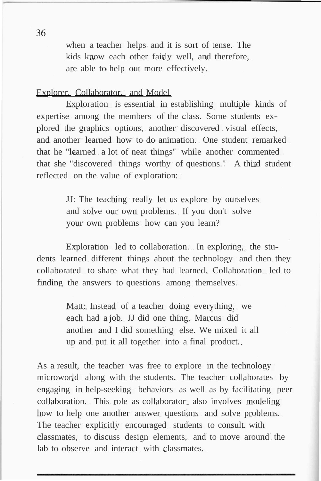when a teacher helps and it is sort of tense. The kids know each other fairly well, and therefore, are able to help out more effectively.

## Explorer, Collaborator, and Model

Exploration is essential in establishing multiple kinds of expertise among the members of the class. Some students explored the graphics options, another discovered visual effects, and another learned how to do animation. One student remarked that he "learned a lot of neat things" while another commented that she "discovered things worthy of questions." A third student reflected on the value of exploration:

> JJ: The teaching really let us explore by ourselves and solve our own problems. If you don't solve your own problems how can you learn?

Exploration led to collaboration. In exploring, the students learned different things about the technology and then they collaborated to share what they had learned. Collaboration led to finding the answers to questions among themselves.

> Matt: Instead of a teacher doing everything, we each had a job. JJ did one thing, Marcus did another and I did something else. We mixed it all up and put it all together into a final product.

As a result, the teacher was free to explore in the technology microworld along with the students. The teacher collaborates by engaging in help-seeking behaviors as well as by facilitating peer collaboration. This role as collaborator also involves modeling how to help one another answer questions and solve problems. The teacher explicitly encouraged students to consult, with classmates, to discuss design elements, and to move around the lab to observe and interact with classmates.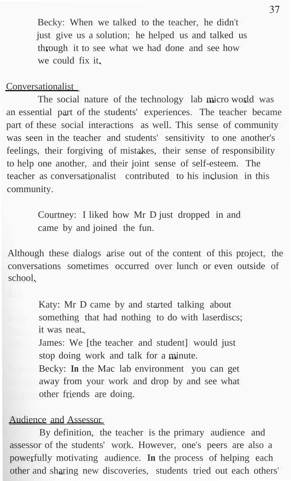Becky: When we talked to the teacher, he didn't just give us a solution; he helped us and talked us through it to see what we had done and see how we could fix it.

#### Conversationalist

The social nature of the technology lab micro world was an essential part of the students' experiences. The teacher became part of these social interactions as well. This sense of community was seen in the teacher and students' sensitivity to one another's feelings, their forgiving of mistakes, their sense of responsibility to help one another, and their joint sense of self-esteem. The teacher as conversationalist contributed to his inclusion in this community.

> Courtney: I liked how Mr D just dropped in and came by and joined the fun.

Although these dialogs arise out of the content of this project, the conversations sometimes occurred over lunch or even outside of school.

> Katy: Mr D came by and started talking about something that had nothing to do with laserdiscs; it was neat. James: We [the teacher and student] would just stop doing work and talk for a minute. Becky: **In** the Mac lab environment you can get away from your work and drop by and see what other friends are doing.

### Audience and Assessor

By definition, the teacher is the primary audience and assessor of the students' work. However, one's peers are also a powerfully motivating audience. **In** the process of helping each other and sharing new discoveries, students tried out each others'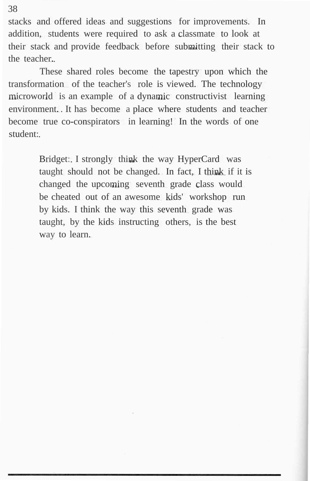stacks and offered ideas and suggestions for improvements. In addition, students were required to ask a classmate to look at their stack and provide feedback before submitting their stack to the teacher.

These shared roles become the tapestry upon which the transformation of the teacher's role is viewed. The technology microworld is an example of a dynamic constructivist learning environment. It has become a place where students and teacher become true co-conspirators in learning! In the words of one student:

> Bridget: I strongly think the way HyperCard was taught should not be changed. In fact, I think if it is changed the upcoming seventh grade class would be cheated out of an awesome kids' workshop run by kids. I think the way this seventh grade was taught, by the kids instructing others, is the best way to learn.

38